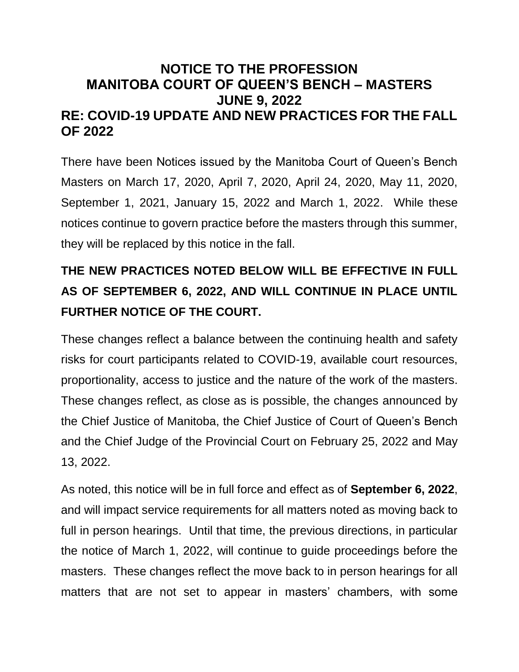# **NOTICE TO THE PROFESSION MANITOBA COURT OF QUEEN'S BENCH – MASTERS JUNE 9, 2022 RE: COVID-19 UPDATE AND NEW PRACTICES FOR THE FALL OF 2022**

There have been Notices issued by the Manitoba Court of Queen's Bench Masters on March 17, 2020, April 7, 2020, April 24, 2020, May 11, 2020, September 1, 2021, January 15, 2022 and March 1, 2022. While these notices continue to govern practice before the masters through this summer, they will be replaced by this notice in the fall.

# **THE NEW PRACTICES NOTED BELOW WILL BE EFFECTIVE IN FULL AS OF SEPTEMBER 6, 2022, AND WILL CONTINUE IN PLACE UNTIL FURTHER NOTICE OF THE COURT.**

These changes reflect a balance between the continuing health and safety risks for court participants related to COVID-19, available court resources, proportionality, access to justice and the nature of the work of the masters. These changes reflect, as close as is possible, the changes announced by the Chief Justice of Manitoba, the Chief Justice of Court of Queen's Bench and the Chief Judge of the Provincial Court on February 25, 2022 and May 13, 2022.

As noted, this notice will be in full force and effect as of **September 6, 2022**, and will impact service requirements for all matters noted as moving back to full in person hearings. Until that time, the previous directions, in particular the notice of March 1, 2022, will continue to guide proceedings before the masters. These changes reflect the move back to in person hearings for all matters that are not set to appear in masters' chambers, with some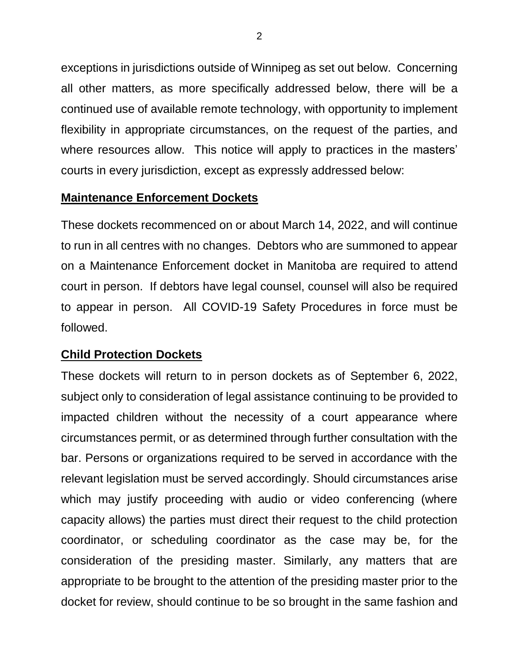exceptions in jurisdictions outside of Winnipeg as set out below. Concerning all other matters, as more specifically addressed below, there will be a continued use of available remote technology, with opportunity to implement flexibility in appropriate circumstances, on the request of the parties, and where resources allow. This notice will apply to practices in the masters' courts in every jurisdiction, except as expressly addressed below:

#### **Maintenance Enforcement Dockets**

These dockets recommenced on or about March 14, 2022, and will continue to run in all centres with no changes. Debtors who are summoned to appear on a Maintenance Enforcement docket in Manitoba are required to attend court in person. If debtors have legal counsel, counsel will also be required to appear in person. All COVID-19 Safety Procedures in force must be followed.

#### **Child Protection Dockets**

These dockets will return to in person dockets as of September 6, 2022, subject only to consideration of legal assistance continuing to be provided to impacted children without the necessity of a court appearance where circumstances permit, or as determined through further consultation with the bar. Persons or organizations required to be served in accordance with the relevant legislation must be served accordingly. Should circumstances arise which may justify proceeding with audio or video conferencing (where capacity allows) the parties must direct their request to the child protection coordinator, or scheduling coordinator as the case may be, for the consideration of the presiding master. Similarly, any matters that are appropriate to be brought to the attention of the presiding master prior to the docket for review, should continue to be so brought in the same fashion and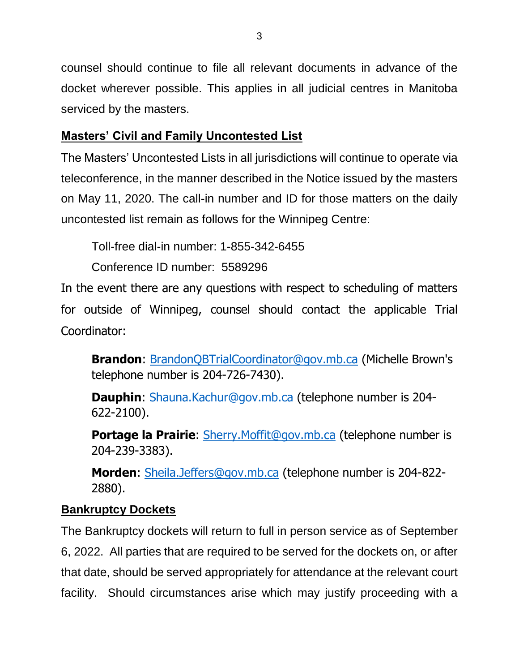counsel should continue to file all relevant documents in advance of the docket wherever possible. This applies in all judicial centres in Manitoba serviced by the masters.

#### **Masters' Civil and Family Uncontested List**

The Masters' Uncontested Lists in all jurisdictions will continue to operate via teleconference, in the manner described in the Notice issued by the masters on May 11, 2020. The call-in number and ID for those matters on the daily uncontested list remain as follows for the Winnipeg Centre:

Toll-free dial-in number: 1-855-342-6455

Conference ID number: 5589296

In the event there are any questions with respect to scheduling of matters for outside of Winnipeg, counsel should contact the applicable Trial Coordinator:

**Brandon**: [BrandonQBTrialCoordinator@gov.mb.ca](mailto:BrandonQBTrialCoordinator@gov.mb.ca) (Michelle Brown's telephone number is 204-726-7430).

**Dauphin**: [Shauna.Kachur@gov.mb.ca](mailto:Shauna.Kachur@gov.mb.ca) (telephone number is 204- 622-2100).

**Portage la Prairie**: [Sherry.Moffit@gov.mb.ca](mailto:Sherry.Moffit@gov.mb.ca) (telephone number is 204-239-3383).

**Morden**: [Sheila.Jeffers@gov.mb.ca](mailto:Sheila.Jeffers@gov.mb.ca) (telephone number is 204-822- 2880).

## **Bankruptcy Dockets**

The Bankruptcy dockets will return to full in person service as of September 6, 2022. All parties that are required to be served for the dockets on, or after that date, should be served appropriately for attendance at the relevant court facility. Should circumstances arise which may justify proceeding with a